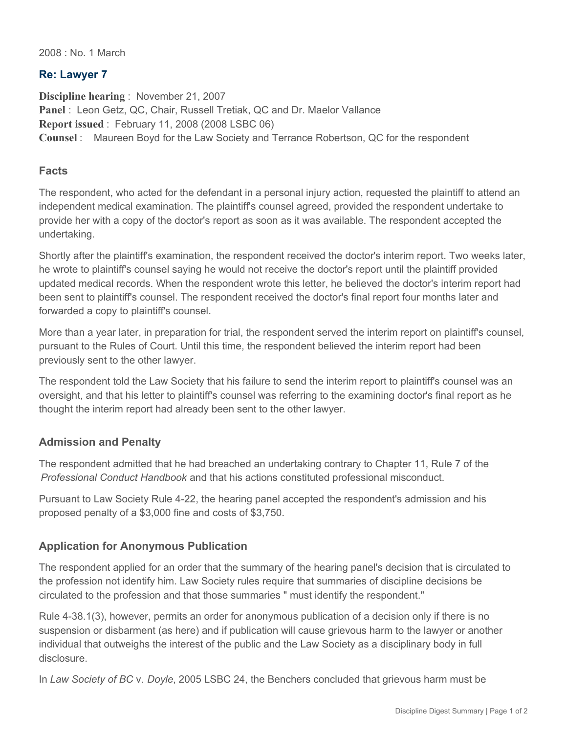2008 : No. 1 March

### **Re: Lawyer 7**

**Discipline hearing** : November 21, 2007 Panel : Leon Getz, QC, Chair, Russell Tretiak, QC and Dr. Maelor Vallance **Report issued** : February 11, 2008 (2008 LSBC 06) **Counsel** : Maureen Boyd for the Law Society and Terrance Robertson, QC for the respondent

### **Facts**

The respondent, who acted for the defendant in a personal injury action, requested the plaintiff to attend an independent medical examination. The plaintiff's counsel agreed, provided the respondent undertake to provide her with a copy of the doctor's report as soon as it was available. The respondent accepted the undertaking.

Shortly after the plaintiff's examination, the respondent received the doctor's interim report. Two weeks later, he wrote to plaintiff's counsel saying he would not receive the doctor's report until the plaintiff provided updated medical records. When the respondent wrote this letter, he believed the doctor's interim report had been sent to plaintiff's counsel. The respondent received the doctor's final report four months later and forwarded a copy to plaintiff's counsel.

More than a year later, in preparation for trial, the respondent served the interim report on plaintiff's counsel, pursuant to the Rules of Court. Until this time, the respondent believed the interim report had been previously sent to the other lawyer.

The respondent told the Law Society that his failure to send the interim report to plaintiff's counsel was an oversight, and that his letter to plaintiff's counsel was referring to the examining doctor's final report as he thought the interim report had already been sent to the other lawyer.

## **Admission and Penalty**

The respondent admitted that he had breached an undertaking contrary to Chapter 11, Rule 7 of the *Professional Conduct Handbook* and that his actions constituted professional misconduct.

Pursuant to Law Society Rule 4-22, the hearing panel accepted the respondent's admission and his proposed penalty of a \$3,000 fine and costs of \$3,750.

## **Application for Anonymous Publication**

The respondent applied for an order that the summary of the hearing panel's decision that is circulated to the profession not identify him. Law Society rules require that summaries of discipline decisions be circulated to the profession and that those summaries " must identify the respondent."

Rule 4-38.1(3), however, permits an order for anonymous publication of a decision only if there is no suspension or disbarment (as here) and if publication will cause grievous harm to the lawyer or another individual that outweighs the interest of the public and the Law Society as a disciplinary body in full disclosure.

In *Law Society of BC* v. *Doyle*, 2005 LSBC 24, the Benchers concluded that grievous harm must be